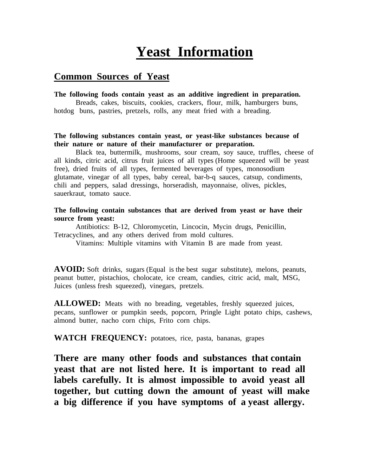# **Yeast Information**

## **Common Sources of Yeast**

#### **The following foods contain yeast as an additive ingredient in preparation.**

Breads, cakes, biscuits, cookies, crackers, flour, milk, hamburgers buns, hotdog buns, pastries, pretzels, rolls, any meat fried with a breading.

#### **The following substances contain yeast, or yeast-like substances because of their nature or nature of their manufacturer or preparation.**

Black tea, buttermilk, mushrooms, sour cream, soy sauce, truffles, cheese of all kinds, citric acid, citrus fruit juices of all types (Home squeezed will be yeast free), dried fruits of all types, fermented beverages of types, monosodium glutamate, vinegar of all types, baby cereal, bar-b-q sauces, catsup, condiments, chili and peppers, salad dressings, horseradish, mayonnaise, olives, pickles, sauerkraut, tomato sauce.

#### **The following contain substances that are derived from yeast or have their source from yeast:**

Antibiotics: B-12, Chloromycetin, Lincocin, Mycin drugs, Penicillin, Tetracyclines, and any others derived from mold cultures.

Vitamins: Multiple vitamins with Vitamin B are made from yeast.

**AVOID:** Soft drinks, sugars (Equal is the best sugar substitute), melons, peanuts, peanut butter, pistachios, cholocate, ice cream, candies, citric acid, malt, MSG, Juices (unless fresh squeezed), vinegars, pretzels.

**ALLOWED:** Meats with no breading, vegetables, freshly squeezed juices, pecans, sunflower or pumpkin seeds, popcorn, Pringle Light potato chips, cashews, almond butter, nacho corn chips, Frito corn chips.

**WATCH FREQUENCY:** potatoes, rice, pasta, bananas, grapes

**There are many other foods and substances that contain yeast that are not listed here. It is important to read all labels carefully. It is almost impossible to avoid yeast all together, but cutting down the amount of yeast will make a big difference if you have symptoms of a yeast allergy.**